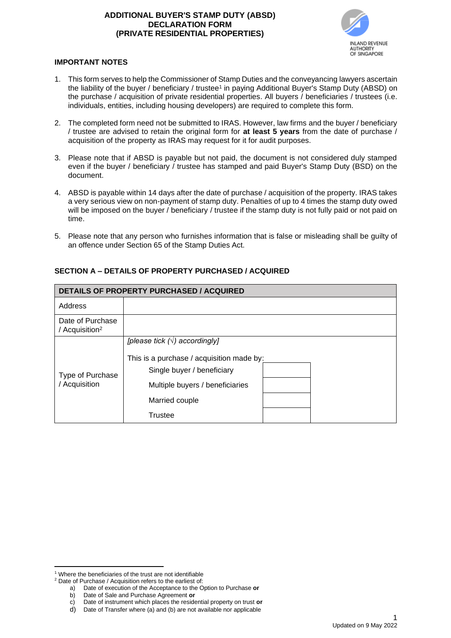## **ADDITIONAL BUYER'S STAMP DUTY (ABSD) DECLARATION FORM (PRIVATE RESIDENTIAL PROPERTIES)**



## **IMPORTANT NOTES**

- 1. This form serves to help the Commissioner of Stamp Duties and the conveyancing lawyers ascertain the liability of the buyer / beneficiary / trustee<sup>1</sup> in paying Additional Buyer's Stamp Duty (ABSD) on the purchase / acquisition of private residential properties. All buyers / beneficiaries / trustees (i.e. individuals, entities, including housing developers) are required to complete this form.
- 2. The completed form need not be submitted to IRAS. However, law firms and the buyer / beneficiary / trustee are advised to retain the original form for **at least 5 years** from the date of purchase / acquisition of the property as IRAS may request for it for audit purposes.
- 3. Please note that if ABSD is payable but not paid, the document is not considered duly stamped even if the buyer / beneficiary / trustee has stamped and paid Buyer's Stamp Duty (BSD) on the document.
- 4. ABSD is payable within 14 days after the date of purchase / acquisition of the property. IRAS takes a very serious view on non-payment of stamp duty. Penalties of up to 4 times the stamp duty owed will be imposed on the buyer / beneficiary / trustee if the stamp duty is not fully paid or not paid on time.
- 5. Please note that any person who furnishes information that is false or misleading shall be guilty of an offence under Section 65 of the Stamp Duties Act.

| <b>DETAILS OF PROPERTY PURCHASED / ACQUIRED</b> |                                                                                                                                                                                         |  |  |  |
|-------------------------------------------------|-----------------------------------------------------------------------------------------------------------------------------------------------------------------------------------------|--|--|--|
| Address                                         |                                                                                                                                                                                         |  |  |  |
| Date of Purchase<br>/ Acquisition <sup>2</sup>  |                                                                                                                                                                                         |  |  |  |
| Type of Purchase<br>/ Acquisition               | [please tick $(\sqrt{})$ accordingly]<br>This is a purchase / acquisition made by:<br>Single buyer / beneficiary<br>Multiple buyers / beneficiaries<br>Married couple<br><b>Trustee</b> |  |  |  |

# **SECTION A – DETAILS OF PROPERTY PURCHASED / ACQUIRED**

<sup>&</sup>lt;sup>1</sup> Where the beneficiaries of the trust are not identifiable

<sup>2</sup> Date of Purchase / Acquisition refers to the earliest of:

a) Date of execution of the Acceptance to the Option to Purchase **or** 

b) Date of Sale and Purchase Agreement **or**

Date of instrument which places the residential property on trust or

d) Date of Transfer where (a) and (b) are not available nor applicable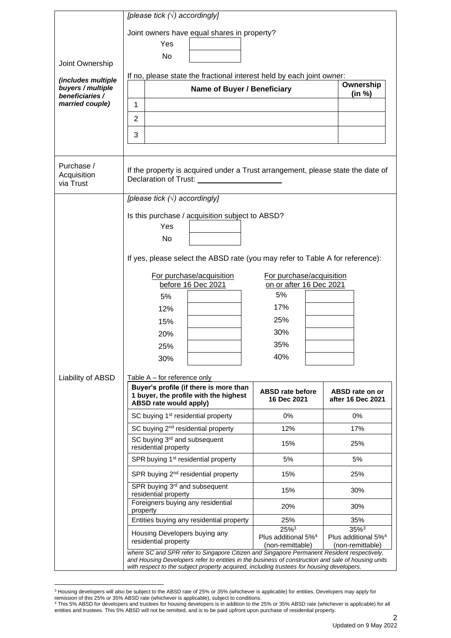|                                         | [please tick $(\sqrt{})$ accordingly]                                                                                                                                                                                                                                                         |                                                                  |                                                                  |  |  |  |
|-----------------------------------------|-----------------------------------------------------------------------------------------------------------------------------------------------------------------------------------------------------------------------------------------------------------------------------------------------|------------------------------------------------------------------|------------------------------------------------------------------|--|--|--|
|                                         | Joint owners have equal shares in property?                                                                                                                                                                                                                                                   |                                                                  |                                                                  |  |  |  |
|                                         | Yes                                                                                                                                                                                                                                                                                           |                                                                  |                                                                  |  |  |  |
|                                         | No                                                                                                                                                                                                                                                                                            |                                                                  |                                                                  |  |  |  |
| Joint Ownership                         | If no, please state the fractional interest held by each joint owner:                                                                                                                                                                                                                         |                                                                  |                                                                  |  |  |  |
| (includes multiple<br>buyers / multiple | Name of Buyer / Beneficiary                                                                                                                                                                                                                                                                   |                                                                  | Ownership                                                        |  |  |  |
| beneficiaries /                         |                                                                                                                                                                                                                                                                                               | (in %)                                                           |                                                                  |  |  |  |
| married couple)                         | 1                                                                                                                                                                                                                                                                                             |                                                                  |                                                                  |  |  |  |
|                                         | 2                                                                                                                                                                                                                                                                                             |                                                                  |                                                                  |  |  |  |
|                                         | 3                                                                                                                                                                                                                                                                                             |                                                                  |                                                                  |  |  |  |
|                                         |                                                                                                                                                                                                                                                                                               |                                                                  |                                                                  |  |  |  |
| Purchase /<br>Acquisition<br>via Trust  | If the property is acquired under a Trust arrangement, please state the date of<br>Declaration of Trust:                                                                                                                                                                                      |                                                                  |                                                                  |  |  |  |
|                                         | [please tick $(\sqrt{})$ accordingly]                                                                                                                                                                                                                                                         |                                                                  |                                                                  |  |  |  |
|                                         | Is this purchase / acquisition subject to ABSD?                                                                                                                                                                                                                                               |                                                                  |                                                                  |  |  |  |
|                                         | Yes                                                                                                                                                                                                                                                                                           |                                                                  |                                                                  |  |  |  |
|                                         | No                                                                                                                                                                                                                                                                                            |                                                                  |                                                                  |  |  |  |
|                                         | If yes, please select the ABSD rate (you may refer to Table A for reference):                                                                                                                                                                                                                 |                                                                  |                                                                  |  |  |  |
|                                         | For purchase/acquisition                                                                                                                                                                                                                                                                      | For purchase/acquisition                                         |                                                                  |  |  |  |
|                                         | before 16 Dec 2021                                                                                                                                                                                                                                                                            | on or after 16 Dec 2021                                          |                                                                  |  |  |  |
|                                         | 5%                                                                                                                                                                                                                                                                                            | 5%                                                               |                                                                  |  |  |  |
|                                         | 12%                                                                                                                                                                                                                                                                                           | 17%                                                              |                                                                  |  |  |  |
|                                         | 15%                                                                                                                                                                                                                                                                                           | 25%                                                              |                                                                  |  |  |  |
|                                         | 20%                                                                                                                                                                                                                                                                                           | 30%<br>35%                                                       |                                                                  |  |  |  |
|                                         | 25%                                                                                                                                                                                                                                                                                           | 40%                                                              |                                                                  |  |  |  |
|                                         | 30%                                                                                                                                                                                                                                                                                           |                                                                  |                                                                  |  |  |  |
| Liability of ABSD                       | Table $A -$ for reference only                                                                                                                                                                                                                                                                |                                                                  |                                                                  |  |  |  |
|                                         | Buyer's profile (if there is more than<br>1 buyer, the profile with the highest<br>ABSD rate would apply)                                                                                                                                                                                     | <b>ABSD rate before</b><br>16 Dec 2021                           | ABSD rate on or<br>after 16 Dec 2021                             |  |  |  |
|                                         | SC buying 1 <sup>st</sup> residential property                                                                                                                                                                                                                                                | 0%                                                               | 0%                                                               |  |  |  |
|                                         | SC buying 2 <sup>nd</sup> residential property                                                                                                                                                                                                                                                | 12%                                                              | 17%                                                              |  |  |  |
|                                         | SC buying 3 <sup>rd</sup> and subsequent<br>residential property                                                                                                                                                                                                                              | 15%                                                              | 25%                                                              |  |  |  |
|                                         | SPR buying 1 <sup>st</sup> residential property                                                                                                                                                                                                                                               | 5%                                                               | 5%                                                               |  |  |  |
|                                         | SPR buying 2 <sup>nd</sup> residential property                                                                                                                                                                                                                                               | 15%                                                              | 25%                                                              |  |  |  |
|                                         | SPR buying 3 <sup>rd</sup> and subsequent<br>residential property                                                                                                                                                                                                                             | 15%                                                              | 30%                                                              |  |  |  |
|                                         | Foreigners buying any residential<br>property                                                                                                                                                                                                                                                 | 20%                                                              | 30%                                                              |  |  |  |
|                                         | Entities buying any residential property                                                                                                                                                                                                                                                      | 25%                                                              | 35%                                                              |  |  |  |
|                                         | Housing Developers buying any<br>residential property                                                                                                                                                                                                                                         | $25%^{3}$<br>Plus additional 5% <sup>4</sup><br>(non-remittable) | $35%^{3}$<br>Plus additional 5% <sup>4</sup><br>(non-remittable) |  |  |  |
|                                         | where SC and SPR refer to Singapore Citizen and Singapore Permanent Resident respectively,<br>and Housing Developers refer to entities in the business of construction and sale of housing units<br>with respect to the subject property acquired, including trustees for housing developers. |                                                                  |                                                                  |  |  |  |

<sup>&</sup>lt;sup>3</sup> Housing developers will also be subject to the ABSD rate of 25% or 35% (whichever is applicable) for entities. Developers may apply for remission of this 25% or 35% ABSD rate (whichever is applicable), subject to conditions.<br><sup>4</sup> This 5% ABSD for developers and trustees for housing developers is in addition to the 25% or 35% ABSD rate (whichever is applicab

entities and trustees. This 5% ABSD will not be remitted, and is to be paid upfront upon purchase of residential property.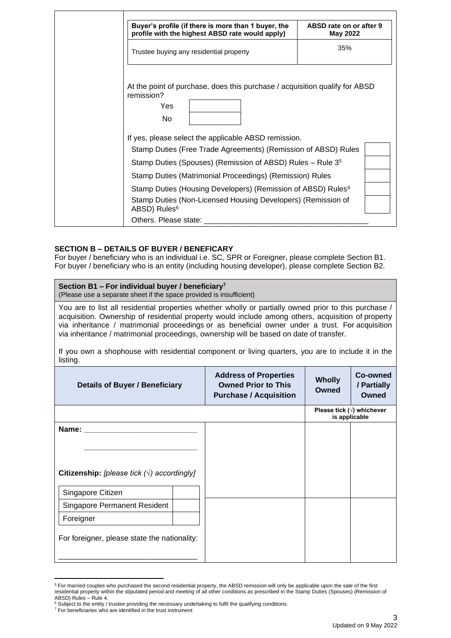| Buyer's profile (if there is more than 1 buyer, the<br>profile with the highest ABSD rate would apply)                                                               | ABSD rate on or after 9<br>May 2022 |
|----------------------------------------------------------------------------------------------------------------------------------------------------------------------|-------------------------------------|
| Trustee buying any residential property                                                                                                                              | 35%                                 |
| At the point of purchase, does this purchase / acquisition qualify for ABSD<br>remission?<br>Yes<br>No.                                                              |                                     |
| If yes, please select the applicable ABSD remission.<br>Stamp Duties (Free Trade Agreements) (Remission of ABSD) Rules                                               |                                     |
| Stamp Duties (Spouses) (Remission of ABSD) Rules – Rule 3 <sup>5</sup><br>Stamp Duties (Matrimonial Proceedings) (Remission) Rules                                   |                                     |
| Stamp Duties (Housing Developers) (Remission of ABSD) Rules <sup>6</sup><br>Stamp Duties (Non-Licensed Housing Developers) (Remission of<br>ABSD) Rules <sup>6</sup> |                                     |
| Others. Please state:                                                                                                                                                |                                     |

#### **SECTION B – DETAILS OF BUYER / BENEFICARY**

For buyer / beneficiary who is an individual i.e. SC, SPR or Foreigner, please complete Section B1. For buyer / beneficiary who is an entity (including housing developer), please complete Section B2.

# **Section B1 – For individual buyer / beneficiary<sup>7</sup>**

(Please use a separate sheet if the space provided is insufficient)

You are to list all residential properties whether wholly or partially owned prior to this purchase / acquisition. Ownership of residential property would include among others, acquisition of property via inheritance / matrimonial proceedings or as beneficial owner under a trust. For acquisition via inheritance / matrimonial proceedings, ownership will be based on date of transfer.

|          | If you own a shophouse with residential component or living quarters, you are to include it in the |  |  |  |  |  |  |
|----------|----------------------------------------------------------------------------------------------------|--|--|--|--|--|--|
| listing. |                                                                                                    |  |  |  |  |  |  |

| <b>Details of Buyer / Beneficiary</b>                       | <b>Address of Properties</b><br><b>Owned Prior to This</b><br><b>Purchase / Acquisition</b> | <b>Wholly</b><br><b>Owned</b> | Co-owned<br>/ Partially<br><b>Owned</b> |                                                    |
|-------------------------------------------------------------|---------------------------------------------------------------------------------------------|-------------------------------|-----------------------------------------|----------------------------------------------------|
|                                                             |                                                                                             |                               |                                         | Please tick $(\sqrt{})$ whichever<br>is applicable |
| Name:<br>Citizenship: [please tick $(\sqrt{})$ accordingly] |                                                                                             |                               |                                         |                                                    |
| Singapore Citizen                                           |                                                                                             |                               |                                         |                                                    |
| Singapore Permanent Resident                                |                                                                                             |                               |                                         |                                                    |
| Foreigner                                                   |                                                                                             |                               |                                         |                                                    |
| For foreigner, please state the nationality:                |                                                                                             |                               |                                         |                                                    |

<sup>5</sup> For married couples who purchased the second residential property, the ABSD remission will only be applicable upon the sale of the first residential property within the stipulated period and meeting of all other conditions as prescribed in the Stamp Duties (Spouses) (Remission of ABSD) Rules – Rule 4.

Subject to the entity / trustee providing the necessary undertaking to fulfil the qualifying conditions.

<sup>&</sup>lt;sup>7</sup> For beneficiaries who are identified in the trust instrument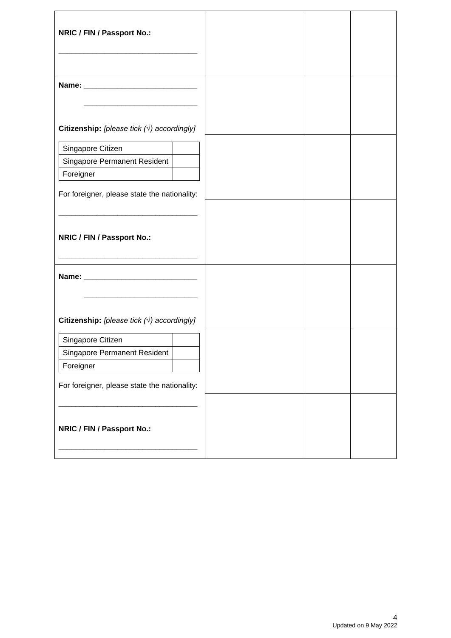| NRIC / FIN / Passport No.:                                              |  |  |
|-------------------------------------------------------------------------|--|--|
|                                                                         |  |  |
| Citizenship: [please tick $(\sqrt{})$ accordingly]<br>Singapore Citizen |  |  |
| Singapore Permanent Resident<br>Foreigner                               |  |  |
| For foreigner, please state the nationality:                            |  |  |
| NRIC / FIN / Passport No.:                                              |  |  |
|                                                                         |  |  |
| Citizenship: [please tick $(\sqrt{})$ accordingly]                      |  |  |
| Singapore Citizen<br><b>Singapore Permanent Resident</b><br>Foreigner   |  |  |
| For foreigner, please state the nationality:                            |  |  |
| NRIC / FIN / Passport No.:                                              |  |  |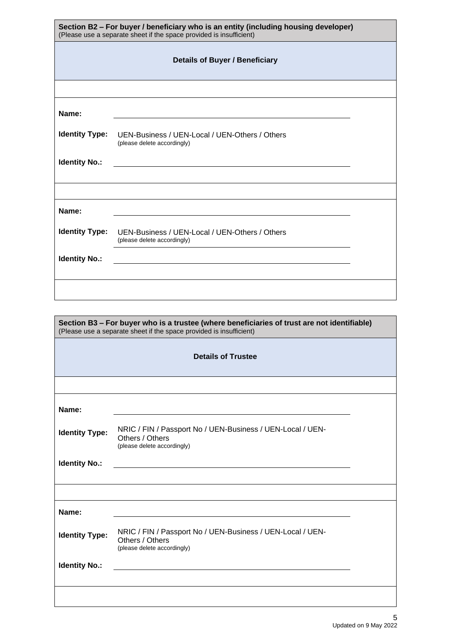| Section B2 - For buyer / beneficiary who is an entity (including housing developer)<br>(Please use a separate sheet if the space provided is insufficient) |                                                                                                                      |  |  |  |  |  |
|------------------------------------------------------------------------------------------------------------------------------------------------------------|----------------------------------------------------------------------------------------------------------------------|--|--|--|--|--|
| <b>Details of Buyer / Beneficiary</b>                                                                                                                      |                                                                                                                      |  |  |  |  |  |
|                                                                                                                                                            |                                                                                                                      |  |  |  |  |  |
| Name:                                                                                                                                                      |                                                                                                                      |  |  |  |  |  |
| <b>Identity Type:</b>                                                                                                                                      | UEN-Business / UEN-Local / UEN-Others / Others<br>(please delete accordingly)                                        |  |  |  |  |  |
| <b>Identity No.:</b>                                                                                                                                       | <u> 1980 - Jan Stein Stein Stein Stein Stein Stein Stein Stein Stein Stein Stein Stein Stein Stein Stein Stein S</u> |  |  |  |  |  |
|                                                                                                                                                            |                                                                                                                      |  |  |  |  |  |
| Name:                                                                                                                                                      |                                                                                                                      |  |  |  |  |  |
| <b>Identity Type:</b>                                                                                                                                      | UEN-Business / UEN-Local / UEN-Others / Others<br>(please delete accordingly)                                        |  |  |  |  |  |
| <b>Identity No.:</b>                                                                                                                                       | <u> 1980 - Jan Stein Stein Stein Stein Stein Stein Stein Stein Stein Stein Stein Stein Stein Stein Stein Stein S</u> |  |  |  |  |  |
|                                                                                                                                                            |                                                                                                                      |  |  |  |  |  |

| Section B3 - For buyer who is a trustee (where beneficiaries of trust are not identifiable)<br>(Please use a separate sheet if the space provided is insufficient) |                                                                                                              |  |  |  |  |
|--------------------------------------------------------------------------------------------------------------------------------------------------------------------|--------------------------------------------------------------------------------------------------------------|--|--|--|--|
| <b>Details of Trustee</b>                                                                                                                                          |                                                                                                              |  |  |  |  |
|                                                                                                                                                                    |                                                                                                              |  |  |  |  |
| Name:                                                                                                                                                              |                                                                                                              |  |  |  |  |
| <b>Identity Type:</b>                                                                                                                                              | NRIC / FIN / Passport No / UEN-Business / UEN-Local / UEN-<br>Others / Others<br>(please delete accordingly) |  |  |  |  |
| <b>Identity No.:</b>                                                                                                                                               |                                                                                                              |  |  |  |  |
|                                                                                                                                                                    |                                                                                                              |  |  |  |  |
| Name:                                                                                                                                                              |                                                                                                              |  |  |  |  |
| <b>Identity Type:</b>                                                                                                                                              | NRIC / FIN / Passport No / UEN-Business / UEN-Local / UEN-<br>Others / Others<br>(please delete accordingly) |  |  |  |  |
| <b>Identity No.:</b>                                                                                                                                               |                                                                                                              |  |  |  |  |
|                                                                                                                                                                    |                                                                                                              |  |  |  |  |